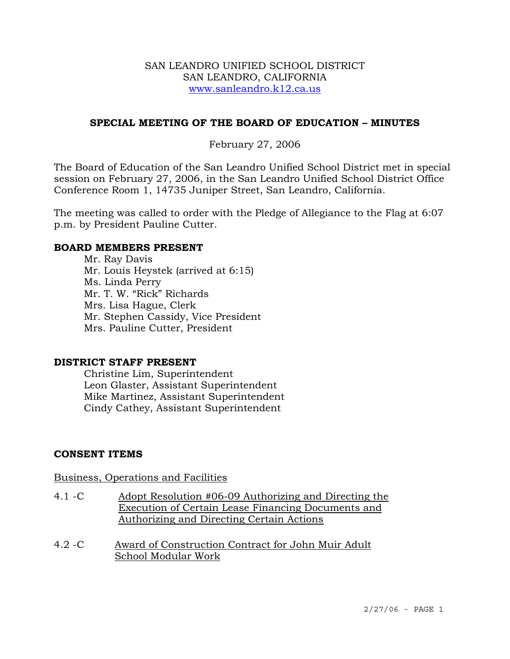### SAN LEANDRO UNIFIED SCHOOL DISTRICT SAN LEANDRO, CALIFORNIA www.sanleandro.k12.ca.us

## **SPECIAL MEETING OF THE BOARD OF EDUCATION – MINUTES**

## February 27, 2006

The Board of Education of the San Leandro Unified School District met in special session on February 27, 2006, in the San Leandro Unified School District Office Conference Room 1, 14735 Juniper Street, San Leandro, California.

The meeting was called to order with the Pledge of Allegiance to the Flag at 6:07 p.m. by President Pauline Cutter.

#### **BOARD MEMBERS PRESENT**

Mr. Ray Davis Mr. Louis Heystek (arrived at 6:15) Ms. Linda Perry Mr. T. W. "Rick" Richards Mrs. Lisa Hague, Clerk Mr. Stephen Cassidy, Vice President Mrs. Pauline Cutter, President

### **DISTRICT STAFF PRESENT**

Christine Lim, Superintendent Leon Glaster, Assistant Superintendent Mike Martinez, Assistant Superintendent Cindy Cathey, Assistant Superintendent

### **CONSENT ITEMS**

#### Business, Operations and Facilities

- 4.1 -C Adopt Resolution #06-09 Authorizing and Directing the Execution of Certain Lease Financing Documents and Authorizing and Directing Certain Actions
- 4.2 -C Award of Construction Contract for John Muir Adult School Modular Work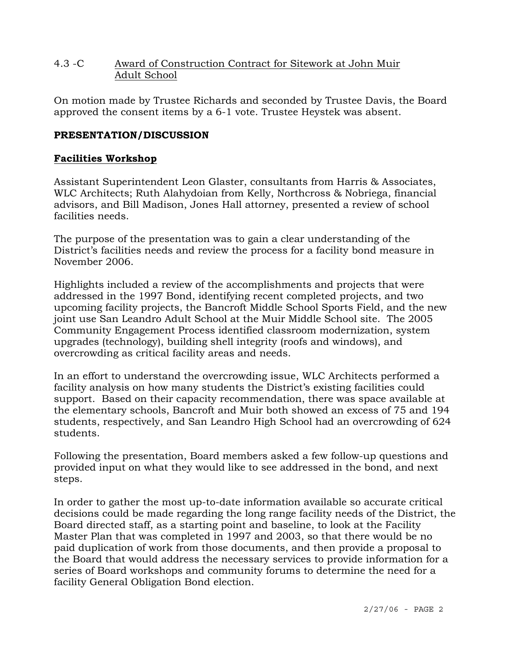# 4.3 -C Award of Construction Contract for Sitework at John Muir Adult School

On motion made by Trustee Richards and seconded by Trustee Davis, the Board approved the consent items by a 6-1 vote. Trustee Heystek was absent.

# **PRESENTATION/DISCUSSION**

## **Facilities Workshop**

Assistant Superintendent Leon Glaster, consultants from Harris & Associates, WLC Architects; Ruth Alahydoian from Kelly, Northcross & Nobriega, financial advisors, and Bill Madison, Jones Hall attorney, presented a review of school facilities needs.

The purpose of the presentation was to gain a clear understanding of the District's facilities needs and review the process for a facility bond measure in November 2006.

Highlights included a review of the accomplishments and projects that were addressed in the 1997 Bond, identifying recent completed projects, and two upcoming facility projects, the Bancroft Middle School Sports Field, and the new joint use San Leandro Adult School at the Muir Middle School site. The 2005 Community Engagement Process identified classroom modernization, system upgrades (technology), building shell integrity (roofs and windows), and overcrowding as critical facility areas and needs.

In an effort to understand the overcrowding issue, WLC Architects performed a facility analysis on how many students the District's existing facilities could support. Based on their capacity recommendation, there was space available at the elementary schools, Bancroft and Muir both showed an excess of 75 and 194 students, respectively, and San Leandro High School had an overcrowding of 624 students.

Following the presentation, Board members asked a few follow-up questions and provided input on what they would like to see addressed in the bond, and next steps.

In order to gather the most up-to-date information available so accurate critical decisions could be made regarding the long range facility needs of the District, the Board directed staff, as a starting point and baseline, to look at the Facility Master Plan that was completed in 1997 and 2003, so that there would be no paid duplication of work from those documents, and then provide a proposal to the Board that would address the necessary services to provide information for a series of Board workshops and community forums to determine the need for a facility General Obligation Bond election.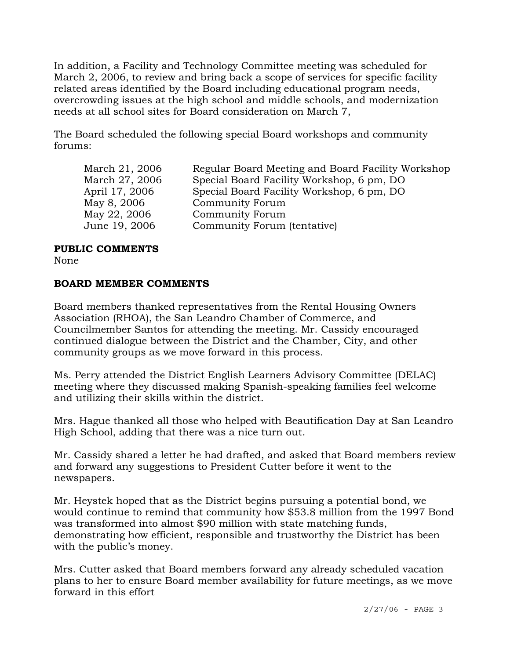In addition, a Facility and Technology Committee meeting was scheduled for March 2, 2006, to review and bring back a scope of services for specific facility related areas identified by the Board including educational program needs, overcrowding issues at the high school and middle schools, and modernization needs at all school sites for Board consideration on March 7,

The Board scheduled the following special Board workshops and community forums:

| March 21, 2006 | Regular Board Meeting and Board Facility Workshop |
|----------------|---------------------------------------------------|
| March 27, 2006 | Special Board Facility Workshop, 6 pm, DO         |
| April 17, 2006 | Special Board Facility Workshop, 6 pm, DO         |
| May 8, 2006    | Community Forum                                   |
| May 22, 2006   | <b>Community Forum</b>                            |
| June 19, 2006  | Community Forum (tentative)                       |
|                |                                                   |

### **PUBLIC COMMENTS**

None

# **BOARD MEMBER COMMENTS**

Board members thanked representatives from the Rental Housing Owners Association (RHOA), the San Leandro Chamber of Commerce, and Councilmember Santos for attending the meeting. Mr. Cassidy encouraged continued dialogue between the District and the Chamber, City, and other community groups as we move forward in this process.

Ms. Perry attended the District English Learners Advisory Committee (DELAC) meeting where they discussed making Spanish-speaking families feel welcome and utilizing their skills within the district.

Mrs. Hague thanked all those who helped with Beautification Day at San Leandro High School, adding that there was a nice turn out.

Mr. Cassidy shared a letter he had drafted, and asked that Board members review and forward any suggestions to President Cutter before it went to the newspapers.

Mr. Heystek hoped that as the District begins pursuing a potential bond, we would continue to remind that community how \$53.8 million from the 1997 Bond was transformed into almost \$90 million with state matching funds, demonstrating how efficient, responsible and trustworthy the District has been with the public's money.

Mrs. Cutter asked that Board members forward any already scheduled vacation plans to her to ensure Board member availability for future meetings, as we move forward in this effort